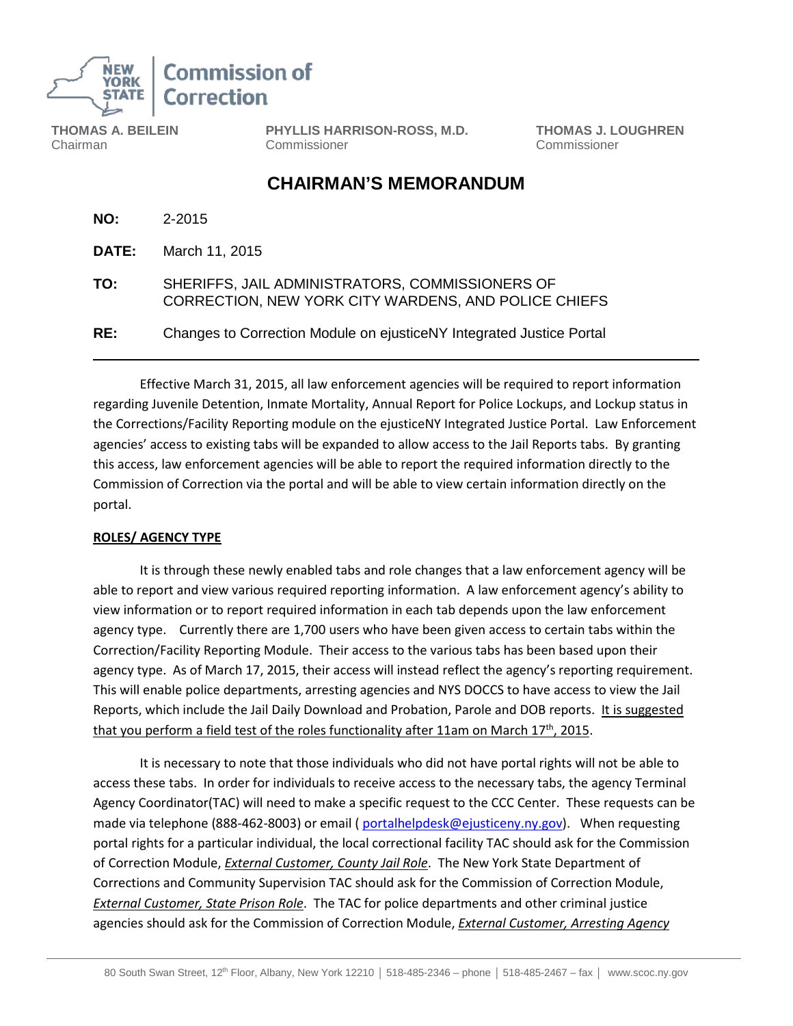

**THOMAS A. BEILEIN** Chairman

**PHYLLIS HARRISON-ROSS, M.D.** Commissioner

 **THOMAS J. LOUGHREN** Commissioner

## **CHAIRMAN'S MEMORANDUM**

| NO:          | 2-2015                                                                                                  |
|--------------|---------------------------------------------------------------------------------------------------------|
| <b>DATE:</b> | March 11, 2015                                                                                          |
| TO:          | SHERIFFS, JAIL ADMINISTRATORS, COMMISSIONERS OF<br>CORRECTION, NEW YORK CITY WARDENS, AND POLICE CHIEFS |
| RE:          | Changes to Correction Module on ejusticeNY Integrated Justice Portal                                    |

Effective March 31, 2015, all law enforcement agencies will be required to report information regarding Juvenile Detention, Inmate Mortality, Annual Report for Police Lockups, and Lockup status in the Corrections/Facility Reporting module on the ejusticeNY Integrated Justice Portal. Law Enforcement agencies' access to existing tabs will be expanded to allow access to the Jail Reports tabs. By granting this access, law enforcement agencies will be able to report the required information directly to the Commission of Correction via the portal and will be able to view certain information directly on the portal.

## **ROLES/ AGENCY TYPE**

It is through these newly enabled tabs and role changes that a law enforcement agency will be able to report and view various required reporting information. A law enforcement agency's ability to view information or to report required information in each tab depends upon the law enforcement agency type. Currently there are 1,700 users who have been given access to certain tabs within the Correction/Facility Reporting Module. Their access to the various tabs has been based upon their agency type. As of March 17, 2015, their access will instead reflect the agency's reporting requirement. This will enable police departments, arresting agencies and NYS DOCCS to have access to view the Jail Reports, which include the Jail Daily Download and Probation, Parole and DOB reports. It is suggested that you perform a field test of the roles functionality after 11am on March  $17<sup>th</sup>$ , 2015.

It is necessary to note that those individuals who did not have portal rights will not be able to access these tabs. In order for individuals to receive access to the necessary tabs, the agency Terminal Agency Coordinator(TAC) will need to make a specific request to the CCC Center. These requests can be made via telephone (888-462-8003) or email ( [portalhelpdesk@ejusticeny.ny.gov\)](mailto:portalhelpdesk@ejusticeny.ny.gov). When requesting portal rights for a particular individual, the local correctional facility TAC should ask for the Commission of Correction Module, *External Customer, County Jail Role*. The New York State Department of Corrections and Community Supervision TAC should ask for the Commission of Correction Module, *External Customer, State Prison Role*. The TAC for police departments and other criminal justice agencies should ask for the Commission of Correction Module, *External Customer, Arresting Agency*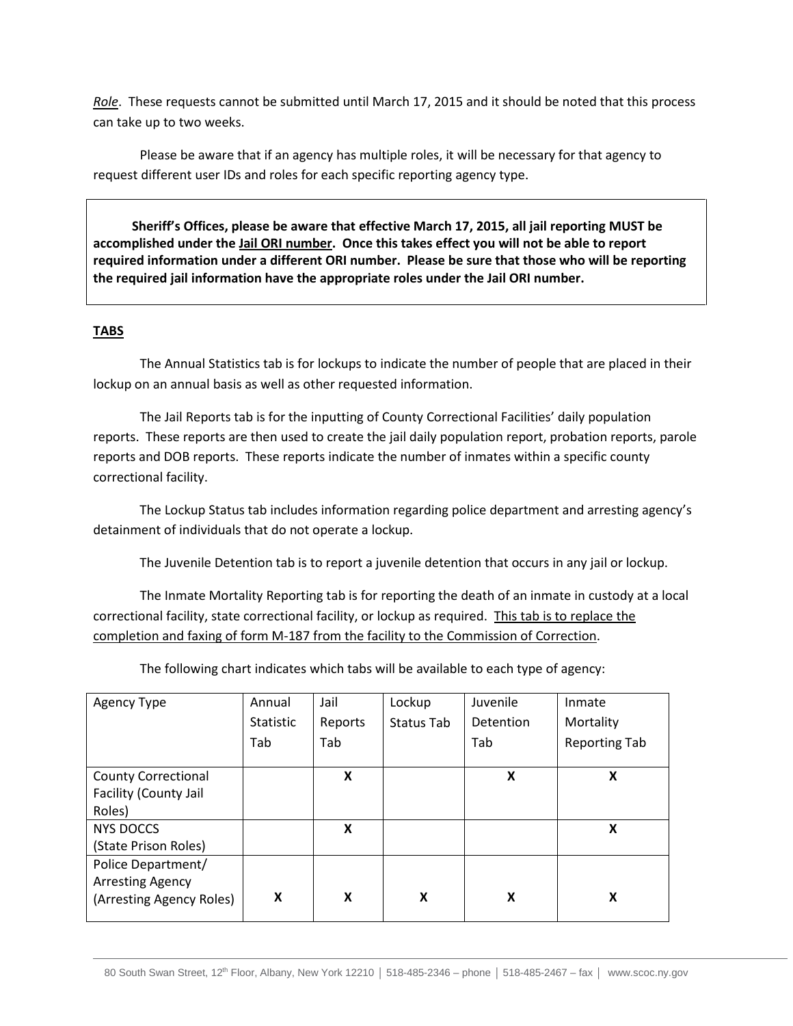*Role*. These requests cannot be submitted until March 17, 2015 and it should be noted that this process can take up to two weeks.

Please be aware that if an agency has multiple roles, it will be necessary for that agency to request different user IDs and roles for each specific reporting agency type.

 **Sheriff's Offices, please be aware that effective March 17, 2015, all jail reporting MUST be accomplished under the Jail ORI number. Once this takes effect you will not be able to report required information under a different ORI number. Please be sure that those who will be reporting the required jail information have the appropriate roles under the Jail ORI number.**

## **TABS**

The Annual Statistics tab is for lockups to indicate the number of people that are placed in their lockup on an annual basis as well as other requested information.

The Jail Reports tab is for the inputting of County Correctional Facilities' daily population reports. These reports are then used to create the jail daily population report, probation reports, parole reports and DOB reports. These reports indicate the number of inmates within a specific county correctional facility.

The Lockup Status tab includes information regarding police department and arresting agency's detainment of individuals that do not operate a lockup.

The Juvenile Detention tab is to report a juvenile detention that occurs in any jail or lockup.

The Inmate Mortality Reporting tab is for reporting the death of an inmate in custody at a local correctional facility, state correctional facility, or lockup as required. This tab is to replace the completion and faxing of form M-187 from the facility to the Commission of Correction.

Agency Type | Annual **Statistic** Tab Jail Reports Tab Lockup Status Tab Juvenile **Detention** Tab Inmate Mortality Reporting Tab County Correctional Facility (County Jail Roles) **X X X** NYS DOCCS (State Prison Roles) **X X** Police Department/ Arresting Agency (Arresting Agency Roles) **X X X X X**

The following chart indicates which tabs will be available to each type of agency: